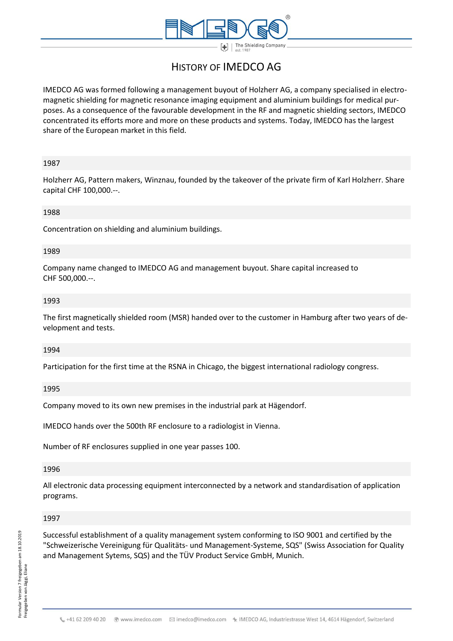

# HISTORY OF IMEDCO AG

IMEDCO AG was formed following a management buyout of Holzherr AG, a company specialised in electromagnetic shielding for magnetic resonance imaging equipment and aluminium buildings for medical purposes. As a consequence of the favourable development in the RF and magnetic shielding sectors, IMEDCO concentrated its efforts more and more on these products and systems. Today, IMEDCO has the largest share of the European market in this field.

### 1987

Holzherr AG, Pattern makers, Winznau, founded by the takeover of the private firm of Karl Holzherr. Share capital CHF 100,000.--.

#### 1988

Concentration on shielding and aluminium buildings.

### 1989

Company name changed to IMEDCO AG and management buyout. Share capital increased to CHF 500,000.--.

### 1993

The first magnetically shielded room (MSR) handed over to the customer in Hamburg after two years of development and tests.

#### 1994

Participation for the first time at the RSNA in Chicago, the biggest international radiology congress.

### 1995

Company moved to its own new premises in the industrial park at Hägendorf.

IMEDCO hands over the 500th RF enclosure to a radiologist in Vienna.

Number of RF enclosures supplied in one year passes 100.

#### 1996

All electronic data processing equipment interconnected by a network and standardisation of application programs.

#### 1997

Successful establishment of a quality management system conforming to ISO 9001 and certified by the "Schweizerische Vereinigung für Qualitäts- und Management-Systeme, SQS" (Swiss Association for Quality and Management Sytems, SQS) and the TÜV Product Service GmbH, Munich.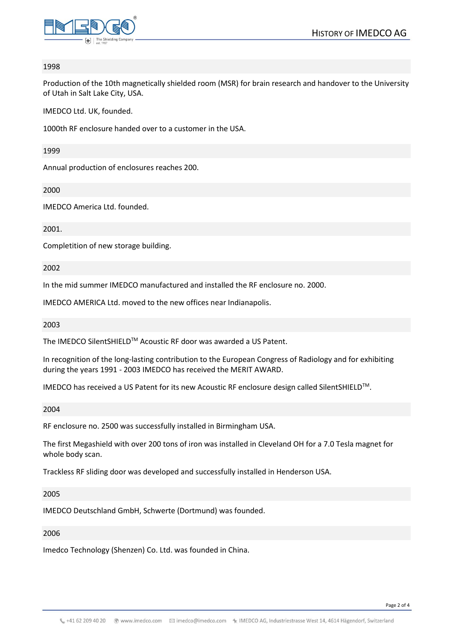

#### 1998

Production of the 10th magnetically shielded room (MSR) for brain research and handover to the University of Utah in Salt Lake City, USA.

IMEDCO Ltd. UK, founded.

1000th RF enclosure handed over to a customer in the USA.

1999

Annual production of enclosures reaches 200.

2000

IMEDCO America Ltd. founded.

2001.

Completition of new storage building.

2002

In the mid summer IMEDCO manufactured and installed the RF enclosure no. 2000.

IMEDCO AMERICA Ltd. moved to the new offices near Indianapolis.

2003

The IMEDCO SilentSHIELDTM Acoustic RF door was awarded a US Patent.

In recognition of the long-lasting contribution to the European Congress of Radiology and for exhibiting during the years 1991 - 2003 IMEDCO has received the MERIT AWARD.

IMEDCO has received a US Patent for its new Acoustic RF enclosure design called SilentSHIELDTM.

2004

RF enclosure no. 2500 was successfully installed in Birmingham USA.

The first Megashield with over 200 tons of iron was installed in Cleveland OH for a 7.0 Tesla magnet for whole body scan.

Trackless RF sliding door was developed and successfully installed in Henderson USA.

2005

IMEDCO Deutschland GmbH, Schwerte (Dortmund) was founded.

### 2006

Imedco Technology (Shenzen) Co. Ltd. was founded in China.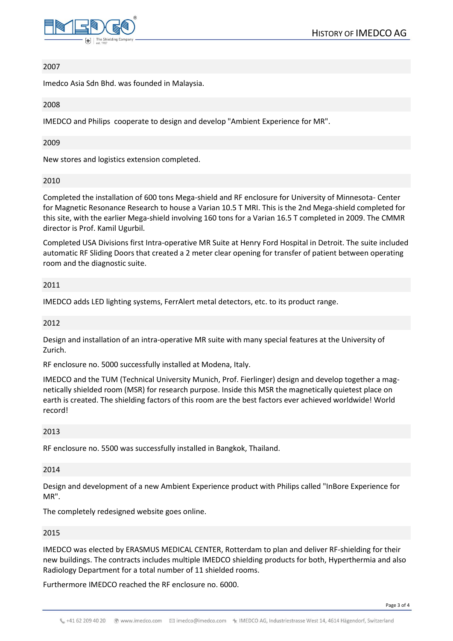

### 2007

Imedco Asia Sdn Bhd. was founded in Malaysia.

### 2008

IMEDCO and Philips cooperate to design and develop "Ambient Experience for MR".

### 2009

New stores and logistics extension completed.

### 2010

Completed the installation of 600 tons Mega-shield and RF enclosure for University of Minnesota- Center for Magnetic Resonance Research to house a Varian 10.5 T MRI. This is the 2nd Mega-shield completed for this site, with the earlier Mega-shield involving 160 tons for a Varian 16.5 T completed in 2009. The CMMR director is Prof. Kamil Ugurbil.

Completed USA Divisions first Intra-operative MR Suite at Henry Ford Hospital in Detroit. The suite included automatic RF Sliding Doors that created a 2 meter clear opening for transfer of patient between operating room and the diagnostic suite.

### 2011

IMEDCO adds LED lighting systems, FerrAlert metal detectors, etc. to its product range.

### 2012

Design and installation of an intra-operative MR suite with many special features at the University of Zurich.

RF enclosure no. 5000 successfully installed at Modena, Italy.

IMEDCO and the TUM (Technical University Munich, Prof. Fierlinger) design and develop together a magnetically shielded room (MSR) for research purpose. Inside this MSR the magnetically quietest place on earth is created. The shielding factors of this room are the best factors ever achieved worldwide! World record!

### 2013

RF enclosure no. 5500 was successfully installed in Bangkok, Thailand.

### 2014

Design and development of a new Ambient Experience product with Philips called "InBore Experience for MR".

The completely redesigned website goes online.

### 2015

IMEDCO was elected by ERASMUS MEDICAL CENTER, Rotterdam to plan and deliver RF-shielding for their new buildings. The contracts includes multiple IMEDCO shielding products for both, Hyperthermia and also Radiology Department for a total number of 11 shielded rooms.

Furthermore IMEDCO reached the RF enclosure no. 6000.